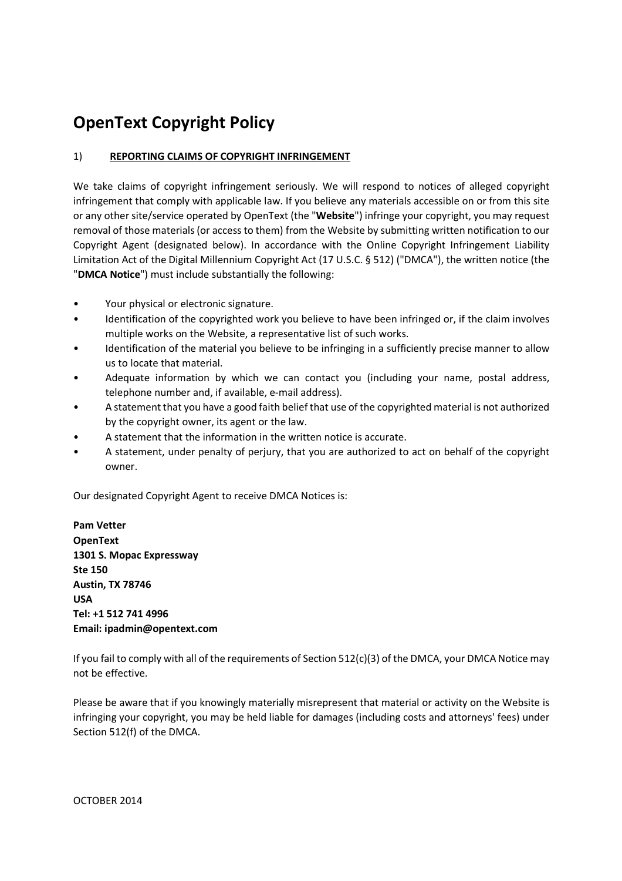## **OpenText Copyright Policy**

## 1) **REPORTING CLAIMS OF COPYRIGHT INFRINGEMENT**

We take claims of copyright infringement seriously. We will respond to notices of alleged copyright infringement that comply with applicable law. If you believe any materials accessible on or from this site or any other site/service operated by OpenText (the "**Website**") infringe your copyright, you may request removal of those materials (or access to them) from the Website by submitting written notification to our Copyright Agent (designated below). In accordance with the Online Copyright Infringement Liability Limitation Act of the Digital Millennium Copyright Act (17 U.S.C. § 512) ("DMCA"), the written notice (the "**DMCA Notice**") must include substantially the following:

- Your physical or electronic signature.
- Identification of the copyrighted work you believe to have been infringed or, if the claim involves multiple works on the Website, a representative list of such works.
- Identification of the material you believe to be infringing in a sufficiently precise manner to allow us to locate that material.
- Adequate information by which we can contact you (including your name, postal address, telephone number and, if available, e-mail address).
- A statement that you have a good faith belief that use of the copyrighted material is not authorized by the copyright owner, its agent or the law.
- A statement that the information in the written notice is accurate.
- A statement, under penalty of perjury, that you are authorized to act on behalf of the copyright owner.

Our designated Copyright Agent to receive DMCA Notices is:

**Pam Vetter OpenText 1301 S. Mopac Expressway Ste 150 Austin, TX 78746 USA Tel: +1 512 741 4996 Email: ipadmin@opentext.com**

If you fail to comply with all of the requirements of Section 512(c)(3) of the DMCA, your DMCA Notice may not be effective.

Please be aware that if you knowingly materially misrepresent that material or activity on the Website is infringing your copyright, you may be held liable for damages (including costs and attorneys' fees) under Section 512(f) of the DMCA.